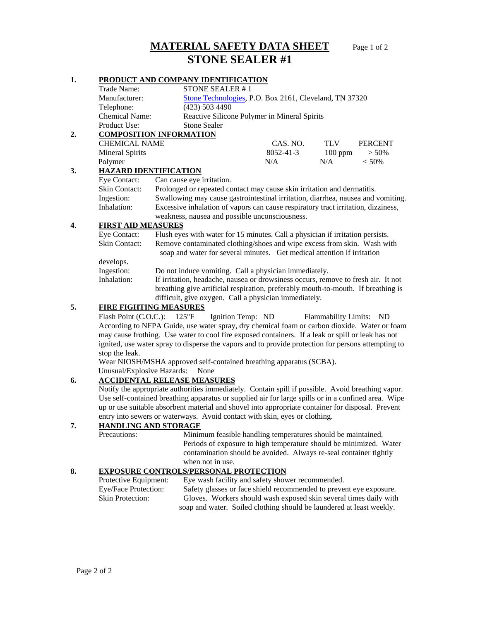# **MATERIAL SAFETY DATA SHEET** Page 1 of 2 **STONE SEALER #1**

# **1. PRODUCT AND COMPANY IDENTIFICATION**

|    | Trade Name:                                                                                                                                                                                              |                                                                                                                                                                        | STONE SEALER #1                                        |                 |                         |          |  |  |
|----|----------------------------------------------------------------------------------------------------------------------------------------------------------------------------------------------------------|------------------------------------------------------------------------------------------------------------------------------------------------------------------------|--------------------------------------------------------|-----------------|-------------------------|----------|--|--|
|    | Manufacturer:                                                                                                                                                                                            |                                                                                                                                                                        | Stone Technologies, P.O. Box 2161, Cleveland, TN 37320 |                 |                         |          |  |  |
|    | Telephone:                                                                                                                                                                                               | $(423)$ 503 4490                                                                                                                                                       |                                                        |                 |                         |          |  |  |
|    | Chemical Name:                                                                                                                                                                                           |                                                                                                                                                                        | Reactive Silicone Polymer in Mineral Spirits           |                 |                         |          |  |  |
|    | Product Use:                                                                                                                                                                                             | <b>Stone Sealer</b>                                                                                                                                                    |                                                        |                 |                         |          |  |  |
| 2. | <b>COMPOSITION INFORMATION</b>                                                                                                                                                                           |                                                                                                                                                                        |                                                        |                 |                         |          |  |  |
|    | <b>CHEMICAL NAME</b>                                                                                                                                                                                     |                                                                                                                                                                        |                                                        | <b>CAS. NO.</b> | TLV                     | PERCENT  |  |  |
|    | <b>Mineral Spirits</b>                                                                                                                                                                                   |                                                                                                                                                                        |                                                        | 8052-41-3       | $100$ ppm               | $> 50\%$ |  |  |
|    | Polymer                                                                                                                                                                                                  |                                                                                                                                                                        |                                                        | N/A             | N/A                     | < 50%    |  |  |
| 3. | <b>HAZARD IDENTIFICATION</b>                                                                                                                                                                             |                                                                                                                                                                        |                                                        |                 |                         |          |  |  |
|    | Eye Contact:                                                                                                                                                                                             | Can cause eye irritation.                                                                                                                                              |                                                        |                 |                         |          |  |  |
|    | <b>Skin Contact:</b>                                                                                                                                                                                     | Prolonged or repeated contact may cause skin irritation and dermatitis.                                                                                                |                                                        |                 |                         |          |  |  |
|    | Ingestion:                                                                                                                                                                                               | Swallowing may cause gastrointestinal irritation, diarrhea, nausea and vomiting.                                                                                       |                                                        |                 |                         |          |  |  |
|    | Inhalation:                                                                                                                                                                                              | Excessive inhalation of vapors can cause respiratory tract irritation, dizziness,                                                                                      |                                                        |                 |                         |          |  |  |
|    |                                                                                                                                                                                                          | weakness, nausea and possible unconsciousness.                                                                                                                         |                                                        |                 |                         |          |  |  |
| 4. | <b>FIRST AID MEASURES</b>                                                                                                                                                                                |                                                                                                                                                                        |                                                        |                 |                         |          |  |  |
|    | Eye Contact:                                                                                                                                                                                             | Flush eyes with water for 15 minutes. Call a physician if irritation persists.                                                                                         |                                                        |                 |                         |          |  |  |
|    | <b>Skin Contact:</b>                                                                                                                                                                                     | Remove contaminated clothing/shoes and wipe excess from skin. Wash with                                                                                                |                                                        |                 |                         |          |  |  |
|    | soap and water for several minutes. Get medical attention if irritation                                                                                                                                  |                                                                                                                                                                        |                                                        |                 |                         |          |  |  |
|    | develops.                                                                                                                                                                                                |                                                                                                                                                                        |                                                        |                 |                         |          |  |  |
|    | Ingestion:                                                                                                                                                                                               | Do not induce vomiting. Call a physician immediately.                                                                                                                  |                                                        |                 |                         |          |  |  |
|    | Inhalation:                                                                                                                                                                                              | If irritation, headache, nausea or drowsiness occurs, remove to fresh air. It not<br>breathing give artificial respiration, preferably mouth-to-mouth. If breathing is |                                                        |                 |                         |          |  |  |
|    |                                                                                                                                                                                                          |                                                                                                                                                                        |                                                        |                 |                         |          |  |  |
|    |                                                                                                                                                                                                          | difficult, give oxygen. Call a physician immediately.                                                                                                                  |                                                        |                 |                         |          |  |  |
| 5. | <b>FIRE FIGHTING MEASURES</b>                                                                                                                                                                            |                                                                                                                                                                        |                                                        |                 |                         |          |  |  |
|    | Flash Point (C.O.C.): $125^{\circ}F$                                                                                                                                                                     |                                                                                                                                                                        | Ignition Temp: ND                                      |                 | Flammability Limits: ND |          |  |  |
|    | According to NFPA Guide, use water spray, dry chemical foam or carbon dioxide. Water or foam                                                                                                             |                                                                                                                                                                        |                                                        |                 |                         |          |  |  |
|    | may cause frothing. Use water to cool fire exposed containers. If a leak or spill or leak has not                                                                                                        |                                                                                                                                                                        |                                                        |                 |                         |          |  |  |
|    | ignited, use water spray to disperse the vapors and to provide protection for persons attempting to                                                                                                      |                                                                                                                                                                        |                                                        |                 |                         |          |  |  |
|    |                                                                                                                                                                                                          | stop the leak.                                                                                                                                                         |                                                        |                 |                         |          |  |  |
|    | Wear NIOSH/MSHA approved self-contained breathing apparatus (SCBA).                                                                                                                                      |                                                                                                                                                                        |                                                        |                 |                         |          |  |  |
|    | Unusual/Explosive Hazards:                                                                                                                                                                               | None                                                                                                                                                                   |                                                        |                 |                         |          |  |  |
| 6. | <b>ACCIDENTAL RELEASE MEASURES</b>                                                                                                                                                                       |                                                                                                                                                                        |                                                        |                 |                         |          |  |  |
|    | Notify the appropriate authorities immediately. Contain spill if possible. Avoid breathing vapor.                                                                                                        |                                                                                                                                                                        |                                                        |                 |                         |          |  |  |
|    | Use self-contained breathing apparatus or supplied air for large spills or in a confined area. Wipe<br>up or use suitable absorbent material and shovel into appropriate container for disposal. Prevent |                                                                                                                                                                        |                                                        |                 |                         |          |  |  |
|    |                                                                                                                                                                                                          |                                                                                                                                                                        |                                                        |                 |                         |          |  |  |
|    |                                                                                                                                                                                                          | entry into sewers or waterways. Avoid contact with skin, eyes or clothing.                                                                                             |                                                        |                 |                         |          |  |  |

# **7. HANDLING AND STORAGE**<br>Precautions: Minin

Minimum feasible handling temperatures should be maintained. Periods of exposure to high temperature should be minimized. Water contamination should be avoided. Always re-seal container tightly when not in use.

# **8. EXPOSURE CONTROLS/PERSONAL PROTECTION**

| Protective Equipment:   | Eye wash facility and safety shower recommended.                     |
|-------------------------|----------------------------------------------------------------------|
| Eye/Face Protection:    | Safety glasses or face shield recommended to prevent eye exposure.   |
| <b>Skin Protection:</b> | Gloves. Workers should wash exposed skin several times daily with    |
|                         | soap and water. Soiled clothing should be laundered at least weekly. |